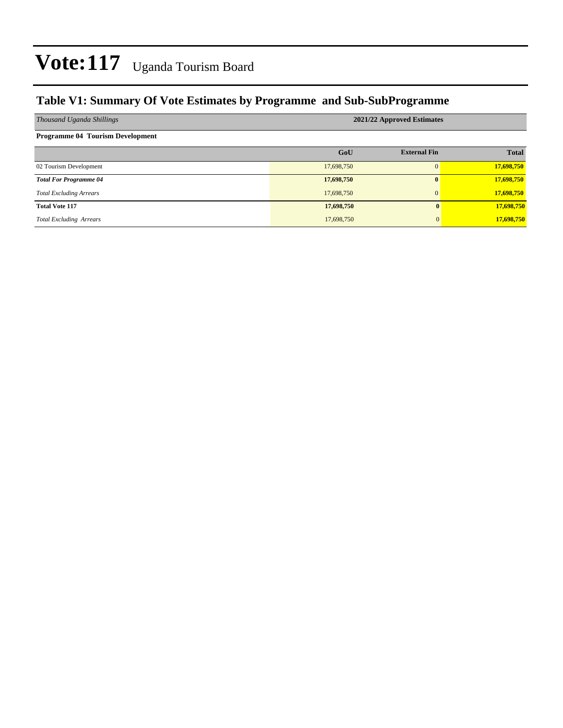### **Table V1: Summary Of Vote Estimates by Programme and Sub-SubProgramme**

| Thousand Uganda Shillings               | 2021/22 Approved Estimates |                     |              |  |  |  |  |  |
|-----------------------------------------|----------------------------|---------------------|--------------|--|--|--|--|--|
| <b>Programme 04 Tourism Development</b> |                            |                     |              |  |  |  |  |  |
|                                         | GoU                        | <b>External Fin</b> | <b>Total</b> |  |  |  |  |  |
| 02 Tourism Development                  | 17,698,750                 | $\Omega$            | 17,698,750   |  |  |  |  |  |
| <b>Total For Programme 04</b>           | 17,698,750                 | $\mathbf{0}$        | 17,698,750   |  |  |  |  |  |
| <b>Total Excluding Arrears</b>          | 17,698,750                 | $\mathbf{0}$        | 17,698,750   |  |  |  |  |  |
| <b>Total Vote 117</b>                   | 17,698,750                 | $\mathbf{0}$        | 17,698,750   |  |  |  |  |  |
| <b>Total Excluding Arrears</b>          | 17,698,750                 | $\overline{0}$      | 17,698,750   |  |  |  |  |  |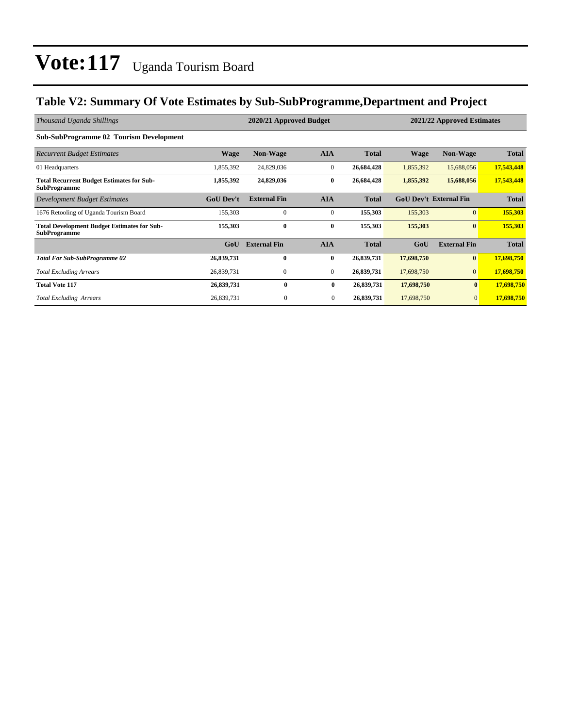### **Table V2: Summary Of Vote Estimates by Sub-SubProgramme,Department and Project**

| Thousand Uganda Shillings                                                 |                  | 2020/21 Approved Budget |                | 2021/22 Approved Estimates |            |                               |              |
|---------------------------------------------------------------------------|------------------|-------------------------|----------------|----------------------------|------------|-------------------------------|--------------|
| <b>Sub-SubProgramme 02 Tourism Development</b>                            |                  |                         |                |                            |            |                               |              |
| <b>Recurrent Budget Estimates</b>                                         | <b>Wage</b>      | <b>Non-Wage</b>         | <b>AIA</b>     | <b>Total</b>               | Wage       | <b>Non-Wage</b>               | <b>Total</b> |
| 01 Headquarters                                                           | 1,855,392        | 24,829,036              | $\mathbf{0}$   | 26,684,428                 | 1,855,392  | 15,688,056                    | 17,543,448   |
| <b>Total Recurrent Budget Estimates for Sub-</b><br><b>SubProgramme</b>   | 1,855,392        | 24,829,036              | $\bf{0}$       | 26,684,428                 | 1,855,392  | 15,688,056                    | 17,543,448   |
| Development Budget Estimates                                              | <b>GoU</b> Dev't | <b>External Fin</b>     | <b>AIA</b>     | <b>Total</b>               |            | <b>GoU Dev't External Fin</b> | <b>Total</b> |
| 1676 Retooling of Uganda Tourism Board                                    | 155,303          | $\mathbf{0}$            | $\mathbf{0}$   | 155,303                    | 155,303    | $\overline{0}$                | 155,303      |
| <b>Total Development Budget Estimates for Sub-</b><br><b>SubProgramme</b> | 155,303          | $\bf{0}$                | $\bf{0}$       | 155,303                    | 155,303    | $\mathbf{0}$                  | 155,303      |
|                                                                           | GoU              | <b>External Fin</b>     | <b>AIA</b>     | <b>Total</b>               | GoU        | <b>External Fin</b>           | <b>Total</b> |
| <b>Total For Sub-SubProgramme 02</b>                                      | 26,839,731       | $\mathbf{0}$            | $\bf{0}$       | 26,839,731                 | 17,698,750 | $\bf{0}$                      | 17,698,750   |
| <b>Total Excluding Arrears</b>                                            | 26,839,731       | $\mathbf{0}$            | $\overline{0}$ | 26,839,731                 | 17,698,750 | $\overline{0}$                | 17,698,750   |
| <b>Total Vote 117</b>                                                     | 26,839,731       | 0                       | $\bf{0}$       | 26,839,731                 | 17,698,750 | $\mathbf{0}$                  | 17,698,750   |
| <b>Total Excluding Arrears</b>                                            | 26,839,731       | $\mathbf{0}$            | $\mathbf{0}$   | 26,839,731                 | 17,698,750 | $\mathbf{0}$                  | 17,698,750   |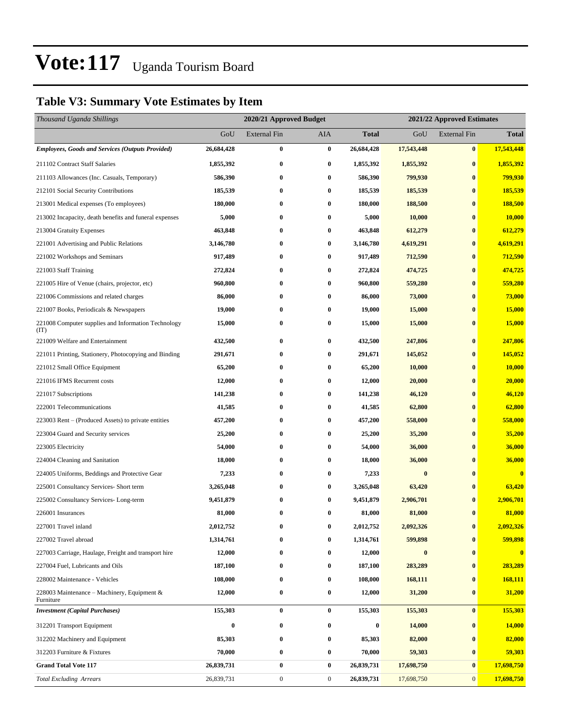### **Table V3: Summary Vote Estimates by Item**

| Thousand Uganda Shillings                                   |            | 2020/21 Approved Budget |                  |                  | 2021/22 Approved Estimates |                     |              |  |
|-------------------------------------------------------------|------------|-------------------------|------------------|------------------|----------------------------|---------------------|--------------|--|
|                                                             | GoU        | External Fin            | AIA              | Total            | GoU                        | <b>External Fin</b> | <b>Total</b> |  |
| <b>Employees, Goods and Services (Outputs Provided)</b>     | 26,684,428 | $\bf{0}$                | $\bf{0}$         | 26,684,428       | 17,543,448                 | $\bf{0}$            | 17,543,448   |  |
| 211102 Contract Staff Salaries                              | 1,855,392  | $\bf{0}$                | $\bf{0}$         | 1,855,392        | 1,855,392                  | $\bf{0}$            | 1,855,392    |  |
| 211103 Allowances (Inc. Casuals, Temporary)                 | 586,390    | 0                       | $\bf{0}$         | 586,390          | 799,930                    | $\bf{0}$            | 799,930      |  |
| 212101 Social Security Contributions                        | 185,539    | 0                       | $\bf{0}$         | 185,539          | 185,539                    | $\bf{0}$            | 185,539      |  |
| 213001 Medical expenses (To employees)                      | 180,000    | 0                       | $\bf{0}$         | 180,000          | 188,500                    | $\bf{0}$            | 188,500      |  |
| 213002 Incapacity, death benefits and funeral expenses      | 5,000      | $\bf{0}$                | $\bf{0}$         | 5,000            | 10,000                     | $\bf{0}$            | 10,000       |  |
| 213004 Gratuity Expenses                                    | 463,848    | $\bf{0}$                | $\bf{0}$         | 463,848          | 612,279                    | $\bf{0}$            | 612,279      |  |
| 221001 Advertising and Public Relations                     | 3,146,780  | 0                       | $\bf{0}$         | 3,146,780        | 4,619,291                  | $\bf{0}$            | 4,619,291    |  |
| 221002 Workshops and Seminars                               | 917,489    | 0                       | $\bf{0}$         | 917,489          | 712,590                    | $\bf{0}$            | 712,590      |  |
| 221003 Staff Training                                       | 272,824    | 0                       | $\bf{0}$         | 272,824          | 474,725                    | $\bf{0}$            | 474,725      |  |
| 221005 Hire of Venue (chairs, projector, etc)               | 960,800    | $\bf{0}$                | $\bf{0}$         | 960,800          | 559,280                    | $\bf{0}$            | 559,280      |  |
| 221006 Commissions and related charges                      | 86,000     | $\bf{0}$                | $\bf{0}$         | 86,000           | 73,000                     | $\bf{0}$            | 73,000       |  |
| 221007 Books, Periodicals & Newspapers                      | 19,000     | $\bf{0}$                | $\bf{0}$         | 19,000           | 15,000                     | $\bf{0}$            | 15,000       |  |
| 221008 Computer supplies and Information Technology<br>(TT) | 15,000     | $\bf{0}$                | $\bf{0}$         | 15,000           | 15,000                     | $\bf{0}$            | 15,000       |  |
| 221009 Welfare and Entertainment                            | 432,500    | $\bf{0}$                | $\bf{0}$         | 432,500          | 247,806                    | $\bf{0}$            | 247,806      |  |
| 221011 Printing, Stationery, Photocopying and Binding       | 291,671    | 0                       | $\bf{0}$         | 291,671          | 145,052                    | $\bf{0}$            | 145,052      |  |
| 221012 Small Office Equipment                               | 65,200     | 0                       | $\bf{0}$         | 65,200           | 10,000                     | $\bf{0}$            | 10,000       |  |
| 221016 IFMS Recurrent costs                                 | 12,000     | $\bf{0}$                | $\bf{0}$         | 12,000           | 20,000                     | $\bf{0}$            | 20,000       |  |
| 221017 Subscriptions                                        | 141,238    | 0                       | $\bf{0}$         | 141,238          | 46,120                     | $\bf{0}$            | 46,120       |  |
| 222001 Telecommunications                                   | 41,585     | $\bf{0}$                | $\bf{0}$         | 41,585           | 62,800                     | $\bf{0}$            | 62,800       |  |
| 223003 Rent – (Produced Assets) to private entities         | 457,200    | 0                       | $\bf{0}$         | 457,200          | 558,000                    | $\bf{0}$            | 558,000      |  |
| 223004 Guard and Security services                          | 25,200     | 0                       | $\bf{0}$         | 25,200           | 35,200                     | $\bf{0}$            | 35,200       |  |
| 223005 Electricity                                          | 54,000     | $\bf{0}$                | $\bf{0}$         | 54,000           | 36,000                     | $\bf{0}$            | 36,000       |  |
| 224004 Cleaning and Sanitation                              | 18,000     | 0                       | $\bf{0}$         | 18,000           | 36,000                     | $\bf{0}$            | 36,000       |  |
| 224005 Uniforms, Beddings and Protective Gear               | 7,233      | $\bf{0}$                | 0                | 7,233            | $\bf{0}$                   | $\bf{0}$            | $\bf{0}$     |  |
| 225001 Consultancy Services- Short term                     | 3,265,048  | $\bf{0}$                | $\bf{0}$         | 3,265,048        | 63,420                     | $\bf{0}$            | 63,420       |  |
| 225002 Consultancy Services-Long-term                       | 9,451,879  | 0                       | $\bf{0}$         | 9,451,879        | 2,906,701                  | $\bf{0}$            | 2,906,701    |  |
| 226001 Insurances                                           | 81,000     | $\bf{0}$                | $\bf{0}$         | 81,000           | 81,000                     | $\bf{0}$            | 81,000       |  |
| 227001 Travel inland                                        | 2,012,752  | $\bf{0}$                | $\bf{0}$         | 2,012,752        | 2,092,326                  | $\bf{0}$            | 2,092,326    |  |
| 227002 Travel abroad                                        | 1,314,761  | $\bf{0}$                | 0                | 1,314,761        | 599,898                    | $\bf{0}$            | 599,898      |  |
| 227003 Carriage, Haulage, Freight and transport hire        | 12,000     | 0                       | $\bf{0}$         | 12,000           | $\boldsymbol{0}$           | $\bf{0}$            | $\bf{0}$     |  |
| 227004 Fuel, Lubricants and Oils                            | 187,100    | 0                       | $\bf{0}$         | 187,100          | 283,289                    | $\bf{0}$            | 283,289      |  |
| 228002 Maintenance - Vehicles                               | 108,000    | $\bf{0}$                | $\bf{0}$         | 108,000          | 168,111                    | $\bf{0}$            | 168,111      |  |
| 228003 Maintenance – Machinery, Equipment &<br>Furniture    | 12,000     | $\bf{0}$                | $\bf{0}$         | 12,000           | 31,200                     | $\bf{0}$            | 31,200       |  |
| <b>Investment</b> (Capital Purchases)                       | 155,303    | $\bf{0}$                | $\bf{0}$         | 155,303          | 155,303                    | $\bf{0}$            | 155,303      |  |
| 312201 Transport Equipment                                  | $\bf{0}$   | $\bf{0}$                | $\bf{0}$         | $\boldsymbol{0}$ | 14,000                     | $\bf{0}$            | 14,000       |  |
| 312202 Machinery and Equipment                              | 85,303     | $\bf{0}$                | $\bf{0}$         | 85,303           | 82,000                     | $\bf{0}$            | 82,000       |  |
| 312203 Furniture & Fixtures                                 | 70,000     | $\bf{0}$                | $\bf{0}$         | 70,000           | 59,303                     | $\bf{0}$            | 59,303       |  |
| <b>Grand Total Vote 117</b>                                 | 26,839,731 | $\bf{0}$                | $\bf{0}$         | 26,839,731       | 17,698,750                 | $\bf{0}$            | 17,698,750   |  |
| <b>Total Excluding Arrears</b>                              | 26,839,731 | $\boldsymbol{0}$        | $\boldsymbol{0}$ | 26,839,731       | 17,698,750                 | $\mathbf{0}$        | 17,698,750   |  |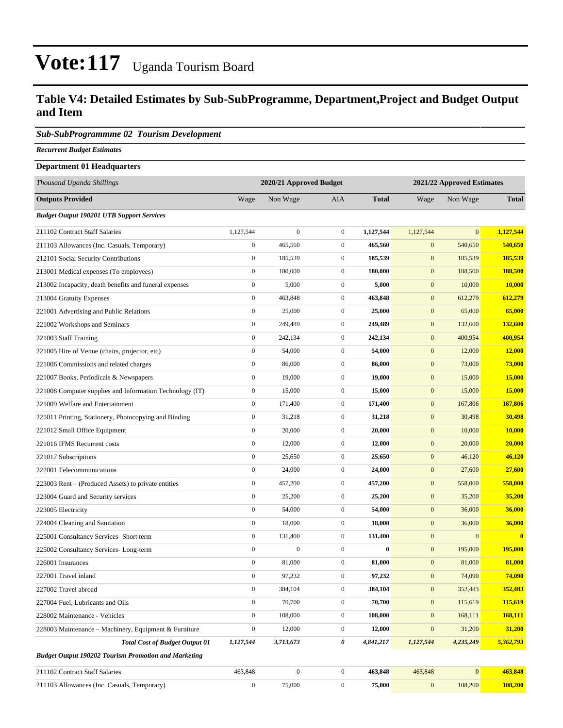#### **Table V4: Detailed Estimates by Sub-SubProgramme, Department,Project and Budget Output and Item**

#### *Sub-SubProgrammme 02 Tourism Development*

*Recurrent Budget Estimates*

#### **Department 01 Headquarters**

| Thousand Uganda Shillings                                   |                  | 2020/21 Approved Budget |                  |              | 2021/22 Approved Estimates |              |               |
|-------------------------------------------------------------|------------------|-------------------------|------------------|--------------|----------------------------|--------------|---------------|
| <b>Outputs Provided</b>                                     | Wage             | Non Wage                | <b>AIA</b>       | <b>Total</b> | Wage                       | Non Wage     | <b>Total</b>  |
| <b>Budget Output 190201 UTB Support Services</b>            |                  |                         |                  |              |                            |              |               |
| 211102 Contract Staff Salaries                              | 1,127,544        | $\boldsymbol{0}$        | $\overline{0}$   | 1,127,544    | 1,127,544                  | $\mathbf{0}$ | 1,127,544     |
| 211103 Allowances (Inc. Casuals, Temporary)                 | $\boldsymbol{0}$ | 465,560                 | $\mathbf{0}$     | 465,560      | $\mathbf{0}$               | 540,650      | 540,650       |
| 212101 Social Security Contributions                        | $\boldsymbol{0}$ | 185,539                 | $\mathbf{0}$     | 185,539      | $\mathbf{0}$               | 185,539      | 185,539       |
| 213001 Medical expenses (To employees)                      | $\boldsymbol{0}$ | 180,000                 | $\overline{0}$   | 180,000      | $\mathbf{0}$               | 188,500      | 188,500       |
| 213002 Incapacity, death benefits and funeral expenses      | $\boldsymbol{0}$ | 5,000                   | $\mathbf{0}$     | 5,000        | $\mathbf{0}$               | 10,000       | <b>10,000</b> |
| 213004 Gratuity Expenses                                    | $\boldsymbol{0}$ | 463,848                 | $\mathbf{0}$     | 463,848      | $\mathbf{0}$               | 612,279      | 612,279       |
| 221001 Advertising and Public Relations                     | $\boldsymbol{0}$ | 25,000                  | $\mathbf{0}$     | 25,000       | $\mathbf{0}$               | 65,000       | 65,000        |
| 221002 Workshops and Seminars                               | $\boldsymbol{0}$ | 249,489                 | $\mathbf{0}$     | 249,489      | $\mathbf{0}$               | 132,600      | 132,600       |
| 221003 Staff Training                                       | $\boldsymbol{0}$ | 242,134                 | $\overline{0}$   | 242,134      | $\mathbf{0}$               | 400,954      | 400,954       |
| 221005 Hire of Venue (chairs, projector, etc)               | $\boldsymbol{0}$ | 54,000                  | $\mathbf{0}$     | 54,000       | $\mathbf{0}$               | 12,000       | 12,000        |
| 221006 Commissions and related charges                      | $\boldsymbol{0}$ | 86,000                  | $\overline{0}$   | 86,000       | $\mathbf{0}$               | 73,000       | 73,000        |
| 221007 Books, Periodicals & Newspapers                      | $\boldsymbol{0}$ | 19,000                  | $\mathbf{0}$     | 19,000       | $\mathbf{0}$               | 15,000       | 15,000        |
| 221008 Computer supplies and Information Technology (IT)    | $\boldsymbol{0}$ | 15,000                  | $\mathbf{0}$     | 15,000       | $\mathbf{0}$               | 15,000       | 15,000        |
| 221009 Welfare and Entertainment                            | $\boldsymbol{0}$ | 171,400                 | $\mathbf{0}$     | 171,400      | $\mathbf{0}$               | 167,806      | 167,806       |
| 221011 Printing, Stationery, Photocopying and Binding       | $\boldsymbol{0}$ | 31,218                  | $\boldsymbol{0}$ | 31,218       | $\mathbf{0}$               | 30,498       | 30,498        |
| 221012 Small Office Equipment                               | $\boldsymbol{0}$ | 20,000                  | $\boldsymbol{0}$ | 20,000       | $\mathbf{0}$               | 10,000       | 10,000        |
| 221016 IFMS Recurrent costs                                 | $\boldsymbol{0}$ | 12,000                  | $\overline{0}$   | 12,000       | $\mathbf{0}$               | 20,000       | 20,000        |
| 221017 Subscriptions                                        | $\boldsymbol{0}$ | 25,650                  | $\mathbf{0}$     | 25,650       | $\mathbf{0}$               | 46,120       | 46,120        |
| 222001 Telecommunications                                   | $\boldsymbol{0}$ | 24,000                  | $\mathbf{0}$     | 24,000       | $\mathbf{0}$               | 27,600       | 27,600        |
| 223003 Rent – (Produced Assets) to private entities         | $\boldsymbol{0}$ | 457,200                 | $\mathbf{0}$     | 457,200      | $\mathbf{0}$               | 558,000      | 558,000       |
| 223004 Guard and Security services                          | $\boldsymbol{0}$ | 25,200                  | $\boldsymbol{0}$ | 25,200       | $\mathbf{0}$               | 35,200       | 35,200        |
| 223005 Electricity                                          | $\boldsymbol{0}$ | 54,000                  | $\mathbf{0}$     | 54,000       | $\mathbf{0}$               | 36,000       | 36,000        |
| 224004 Cleaning and Sanitation                              | $\boldsymbol{0}$ | 18,000                  | $\mathbf{0}$     | 18,000       | $\mathbf{0}$               | 36,000       | 36,000        |
| 225001 Consultancy Services- Short term                     | $\boldsymbol{0}$ | 131,400                 | $\overline{0}$   | 131,400      | $\mathbf{0}$               | $\mathbf{0}$ | $\bf{0}$      |
| 225002 Consultancy Services-Long-term                       | $\boldsymbol{0}$ | $\boldsymbol{0}$        | $\overline{0}$   | $\bf{0}$     | $\mathbf{0}$               | 195,000      | 195,000       |
| 226001 Insurances                                           | $\boldsymbol{0}$ | 81,000                  | $\boldsymbol{0}$ | 81,000       | $\mathbf{0}$               | 81,000       | 81,000        |
| 227001 Travel inland                                        | $\boldsymbol{0}$ | 97,232                  | $\mathbf{0}$     | 97,232       | $\mathbf{0}$               | 74,090       | 74,090        |
| 227002 Travel abroad                                        | $\boldsymbol{0}$ | 384,104                 | $\boldsymbol{0}$ | 384,104      | $\boldsymbol{0}$           | 352,483      | 352,483       |
| 227004 Fuel, Lubricants and Oils                            | $\boldsymbol{0}$ | 70,700                  | $\boldsymbol{0}$ | 70,700       | $\boldsymbol{0}$           | 115,619      | 115,619       |
| 228002 Maintenance - Vehicles                               | $\boldsymbol{0}$ | 108,000                 | $\boldsymbol{0}$ | 108,000      | $\mathbf{0}$               | 168,111      | 168,111       |
| 228003 Maintenance – Machinery, Equipment & Furniture       | $\boldsymbol{0}$ | 12,000                  | $\boldsymbol{0}$ | 12,000       | $\mathbf{0}$               | 31,200       | 31,200        |
| <b>Total Cost of Budget Output 01</b>                       | 1,127,544        | 3,713,673               | 0                | 4,841,217    | 1,127,544                  | 4,235,249    | 5,362,793     |
| <b>Budget Output 190202 Tourism Promotion and Marketing</b> |                  |                         |                  |              |                            |              |               |
| 211102 Contract Staff Salaries                              | 463,848          | $\boldsymbol{0}$        | $\overline{0}$   | 463,848      | 463,848                    | $\mathbf{0}$ | 463,848       |
| 211103 Allowances (Inc. Casuals, Temporary)                 | $\boldsymbol{0}$ | 75,000                  | $\boldsymbol{0}$ | 75,000       | $\mathbf{0}$               | 108,200      | 108,200       |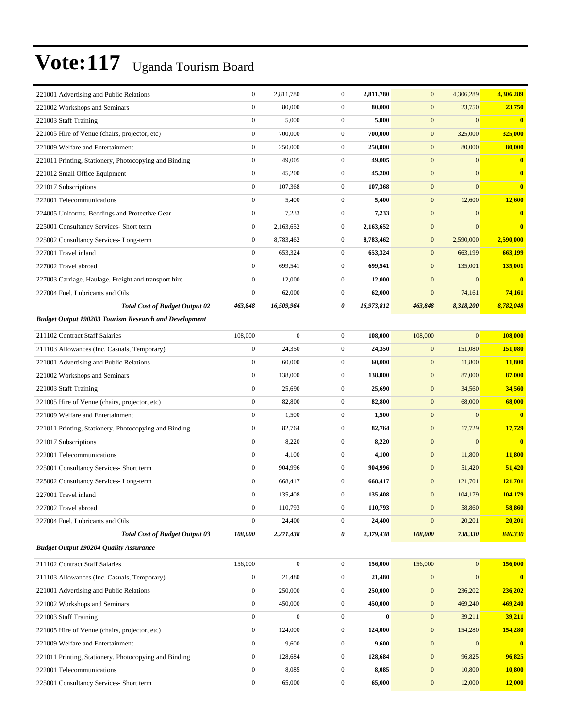| 221001 Advertising and Public Relations                      | $\boldsymbol{0}$ | 2,811,780        | $\mathbf{0}$     | 2,811,780  | $\mathbf{0}$     | 4,306,289    | 4,306,289               |
|--------------------------------------------------------------|------------------|------------------|------------------|------------|------------------|--------------|-------------------------|
| 221002 Workshops and Seminars                                | $\boldsymbol{0}$ | 80,000           | $\boldsymbol{0}$ | 80,000     | $\mathbf{0}$     | 23,750       | 23,750                  |
| 221003 Staff Training                                        | $\boldsymbol{0}$ | 5,000            | $\boldsymbol{0}$ | 5,000      | $\mathbf{0}$     | $\mathbf{0}$ | $\bf{0}$                |
| 221005 Hire of Venue (chairs, projector, etc)                | $\boldsymbol{0}$ | 700,000          | $\mathbf{0}$     | 700,000    | $\mathbf{0}$     | 325,000      | 325,000                 |
| 221009 Welfare and Entertainment                             | $\boldsymbol{0}$ | 250,000          | $\mathbf{0}$     | 250,000    | $\mathbf{0}$     | 80,000       | 80,000                  |
| 221011 Printing, Stationery, Photocopying and Binding        | $\boldsymbol{0}$ | 49,005           | $\mathbf{0}$     | 49,005     | $\mathbf{0}$     | $\mathbf{0}$ | $\bf{0}$                |
| 221012 Small Office Equipment                                | $\boldsymbol{0}$ | 45,200           | $\boldsymbol{0}$ | 45,200     | $\mathbf{0}$     | $\mathbf{0}$ | $\mathbf{0}$            |
| 221017 Subscriptions                                         | $\boldsymbol{0}$ | 107,368          | $\boldsymbol{0}$ | 107,368    | $\boldsymbol{0}$ | $\mathbf{0}$ | $\overline{\mathbf{0}}$ |
| 222001 Telecommunications                                    | $\boldsymbol{0}$ | 5,400            | $\mathbf{0}$     | 5,400      | $\mathbf{0}$     | 12,600       | 12,600                  |
| 224005 Uniforms, Beddings and Protective Gear                | $\boldsymbol{0}$ | 7,233            | $\overline{0}$   | 7,233      | $\boldsymbol{0}$ | $\mathbf{0}$ | $\bf{0}$                |
| 225001 Consultancy Services- Short term                      | $\boldsymbol{0}$ | 2,163,652        | $\mathbf{0}$     | 2,163,652  | $\mathbf{0}$     | $\mathbf{0}$ | $\overline{\mathbf{0}}$ |
| 225002 Consultancy Services-Long-term                        | $\boldsymbol{0}$ | 8,783,462        | $\boldsymbol{0}$ | 8,783,462  | $\mathbf{0}$     | 2,590,000    | 2,590,000               |
| 227001 Travel inland                                         | $\mathbf{0}$     | 653,324          | $\boldsymbol{0}$ | 653,324    | $\mathbf{0}$     | 663,199      | 663,199                 |
| 227002 Travel abroad                                         | $\boldsymbol{0}$ | 699,541          | $\mathbf{0}$     | 699,541    | $\mathbf{0}$     | 135,001      | 135,001                 |
| 227003 Carriage, Haulage, Freight and transport hire         | $\boldsymbol{0}$ | 12,000           | $\overline{0}$   | 12,000     | $\mathbf{0}$     | $\mathbf{0}$ | $\bf{0}$                |
| 227004 Fuel, Lubricants and Oils                             | $\boldsymbol{0}$ | 62,000           | $\mathbf{0}$     | 62,000     | $\boldsymbol{0}$ | 74,161       | 74,161                  |
| <b>Total Cost of Budget Output 02</b>                        | 463,848          | 16,509,964       | 0                | 16,973,812 | 463,848          | 8,318,200    | 8,782,048               |
| <b>Budget Output 190203 Tourism Research and Development</b> |                  |                  |                  |            |                  |              |                         |
| 211102 Contract Staff Salaries                               | 108,000          | $\boldsymbol{0}$ | $\overline{0}$   | 108,000    | 108,000          | $\mathbf{0}$ | 108,000                 |
| 211103 Allowances (Inc. Casuals, Temporary)                  | $\boldsymbol{0}$ | 24,350           | $\mathbf{0}$     | 24,350     | $\mathbf{0}$     | 151,080      | 151,080                 |
| 221001 Advertising and Public Relations                      | $\mathbf{0}$     | 60,000           | $\boldsymbol{0}$ | 60,000     | $\mathbf{0}$     | 11,800       | <b>11,800</b>           |
| 221002 Workshops and Seminars                                | $\boldsymbol{0}$ | 138,000          | $\mathbf{0}$     | 138,000    | $\mathbf{0}$     | 87,000       | 87,000                  |
| 221003 Staff Training                                        | $\boldsymbol{0}$ | 25,690           | $\boldsymbol{0}$ | 25,690     | $\mathbf{0}$     | 34,560       | 34,560                  |
| 221005 Hire of Venue (chairs, projector, etc)                | $\boldsymbol{0}$ | 82,800           | $\boldsymbol{0}$ | 82,800     | $\boldsymbol{0}$ | 68,000       | 68,000                  |
| 221009 Welfare and Entertainment                             | $\boldsymbol{0}$ | 1,500            | $\mathbf{0}$     | 1,500      | $\mathbf{0}$     | $\mathbf{0}$ | $\bf{0}$                |
| 221011 Printing, Stationery, Photocopying and Binding        | $\boldsymbol{0}$ | 82,764           | $\mathbf{0}$     | 82,764     | $\mathbf{0}$     | 17,729       | 17,729                  |
| 221017 Subscriptions                                         | $\boldsymbol{0}$ | 8,220            | $\mathbf{0}$     | 8,220      | $\mathbf{0}$     | $\mathbf{0}$ | $\bf{0}$                |
| 222001 Telecommunications                                    | $\boldsymbol{0}$ | 4,100            | $\mathbf{0}$     | 4,100      | $\mathbf{0}$     | 11,800       | 11,800                  |
| 225001 Consultancy Services- Short term                      | $\boldsymbol{0}$ | 904,996          | $\boldsymbol{0}$ | 904,996    | $\mathbf{0}$     | 51,420       | 51,420                  |
| 225002 Consultancy Services-Long-term                        | $\boldsymbol{0}$ | 668,417          | $\mathbf{0}$     | 668,417    | $\mathbf{0}$     | 121,701      | 121,701                 |
| 227001 Travel inland                                         | $\boldsymbol{0}$ | 135,408          | $\boldsymbol{0}$ | 135,408    | $\mathbf{0}$     | 104,179      | 104,179                 |
| 227002 Travel abroad                                         | $\boldsymbol{0}$ | 110,793          | $\overline{0}$   | 110,793    | $\mathbf{0}$     | 58,860       | 58,860                  |
| 227004 Fuel, Lubricants and Oils                             | $\boldsymbol{0}$ | 24,400           | $\boldsymbol{0}$ | 24,400     | $\mathbf{0}$     | 20,201       | 20,201                  |
| <b>Total Cost of Budget Output 03</b>                        | 108,000          | 2,271,438        | 0                | 2,379,438  | 108,000          | 738,330      | 846,330                 |
| <b>Budget Output 190204 Quality Assurance</b>                |                  |                  |                  |            |                  |              |                         |
| 211102 Contract Staff Salaries                               | 156,000          | $\boldsymbol{0}$ | $\overline{0}$   | 156,000    | 156,000          | $\mathbf{0}$ | 156,000                 |
| 211103 Allowances (Inc. Casuals, Temporary)                  | $\boldsymbol{0}$ | 21,480           | $\boldsymbol{0}$ | 21,480     | $\boldsymbol{0}$ | $\mathbf{0}$ | $\mathbf{0}$            |
| 221001 Advertising and Public Relations                      | $\boldsymbol{0}$ | 250,000          | $\boldsymbol{0}$ | 250,000    | $\boldsymbol{0}$ | 236,202      | 236,202                 |
| 221002 Workshops and Seminars                                | $\boldsymbol{0}$ | 450,000          | $\boldsymbol{0}$ | 450,000    | $\mathbf{0}$     | 469,240      | 469,240                 |
| 221003 Staff Training                                        | $\boldsymbol{0}$ | $\boldsymbol{0}$ | $\boldsymbol{0}$ | $\bf{0}$   | $\boldsymbol{0}$ | 39,211       | 39,211                  |
| 221005 Hire of Venue (chairs, projector, etc)                | $\boldsymbol{0}$ | 124,000          | $\boldsymbol{0}$ | 124,000    | $\mathbf{0}$     | 154,280      | 154,280                 |
| 221009 Welfare and Entertainment                             | $\boldsymbol{0}$ | 9,600            | $\boldsymbol{0}$ | 9,600      | $\boldsymbol{0}$ | $\mathbf{0}$ | $\mathbf{0}$            |
| 221011 Printing, Stationery, Photocopying and Binding        | $\boldsymbol{0}$ | 128,684          | $\boldsymbol{0}$ | 128,684    | $\boldsymbol{0}$ | 96,825       | 96,825                  |
| 222001 Telecommunications                                    | $\boldsymbol{0}$ | 8,085            | $\boldsymbol{0}$ | 8,085      | $\mathbf{0}$     | 10,800       | 10,800                  |
| 225001 Consultancy Services- Short term                      | $\boldsymbol{0}$ | 65,000           | $\boldsymbol{0}$ | 65,000     | $\boldsymbol{0}$ | 12,000       | <b>12,000</b>           |